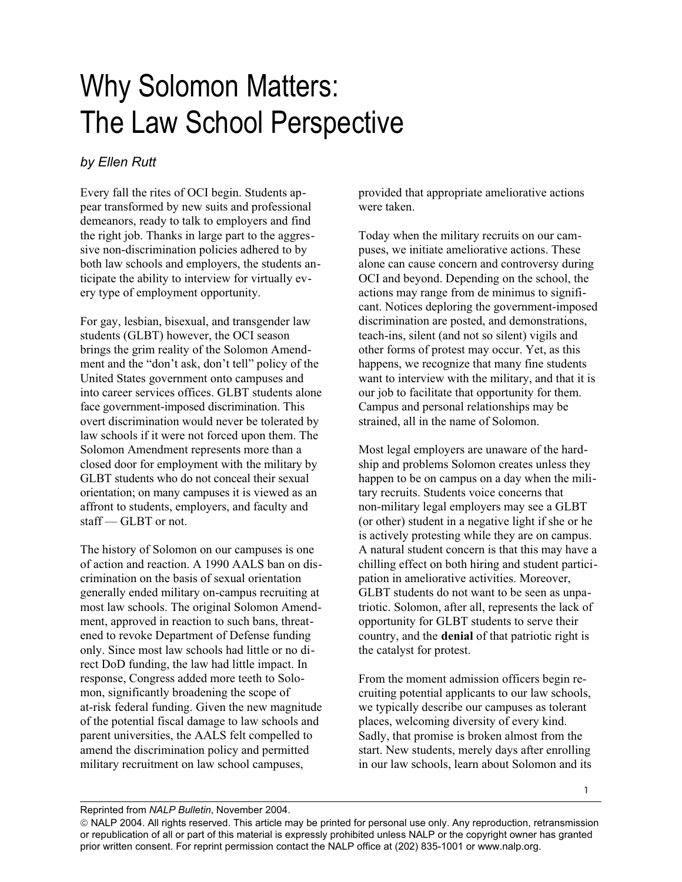## Why Solomon Matters: The Law School Perspective

## *by Ellen Rutt*

Every fall the rites of OCI begin. Students appear transformed by new suits and professional demeanors, ready to talk to employers and find the right job. Thanks in large part to the aggressive non-discrimination policies adhered to by both law schools and employers, the students anticipate the ability to interview for virtually every type of employment opportunity.

For gay, lesbian, bisexual, and transgender law students (GLBT) however, the OCI season brings the grim reality of the Solomon Amendment and the "don't ask, don't tell" policy of the United States government onto campuses and into career services offices. GLBT students alone face government-imposed discrimination. This overt discrimination would never be tolerated by law schools if it were not forced upon them. The Solomon Amendment represents more than a closed door for employment with the military by GLBT students who do not conceal their sexual orientation; on many campuses it is viewed as an affront to students, employers, and faculty and staff — GLBT or not.

The history of Solomon on our campuses is one of action and reaction. A 1990 AALS ban on discrimination on the basis of sexual orientation generally ended military on-campus recruiting at most law schools. The original Solomon Amendment, approved in reaction to such bans, threatened to revoke Department of Defense funding only. Since most law schools had little or no direct DoD funding, the law had little impact. In response, Congress added more teeth to Solomon, significantly broadening the scope of at-risk federal funding. Given the new magnitude of the potential fiscal damage to law schools and parent universities, the AALS felt compelled to amend the discrimination policy and permitted military recruitment on law school campuses,

provided that appropriate ameliorative actions were taken.

Today when the military recruits on our campuses, we initiate ameliorative actions. These alone can cause concern and controversy during OCI and beyond. Depending on the school, the actions may range from de minimus to significant. Notices deploring the government-imposed discrimination are posted, and demonstrations, teach-ins, silent (and not so silent) vigils and other forms of protest may occur. Yet, as this happens, we recognize that many fine students want to interview with the military, and that it is our job to facilitate that opportunity for them. Campus and personal relationships may be strained, all in the name of Solomon.

Most legal employers are unaware of the hardship and problems Solomon creates unless they happen to be on campus on a day when the military recruits. Students voice concerns that non-military legal employers may see a GLBT (or other) student in a negative light if she or he is actively protesting while they are on campus. A natural student concern is that this may have a chilling effect on both hiring and student participation in ameliorative activities. Moreover, GLBT students do not want to be seen as unpatriotic. Solomon, after all, represents the lack of opportunity for GLBT students to serve their country, and the **denial** of that patriotic right is the catalyst for protest.

From the moment admission officers begin recruiting potential applicants to our law schools, we typically describe our campuses as tolerant places, welcoming diversity of every kind. Sadly, that promise is broken almost from the start. New students, merely days after enrolling in our law schools, learn about Solomon and its

Reprinted from *NALP Bulletin*, November 2004.

NALP 2004. All rights reserved. This article may be printed for personal use only. Any reproduction, retransmission or republication of all or part of this material is expressly prohibited unless NALP or the copyright owner has granted prior written consent. For reprint permission contact the NALP office at (202) 835-1001 or www.nalp.org.